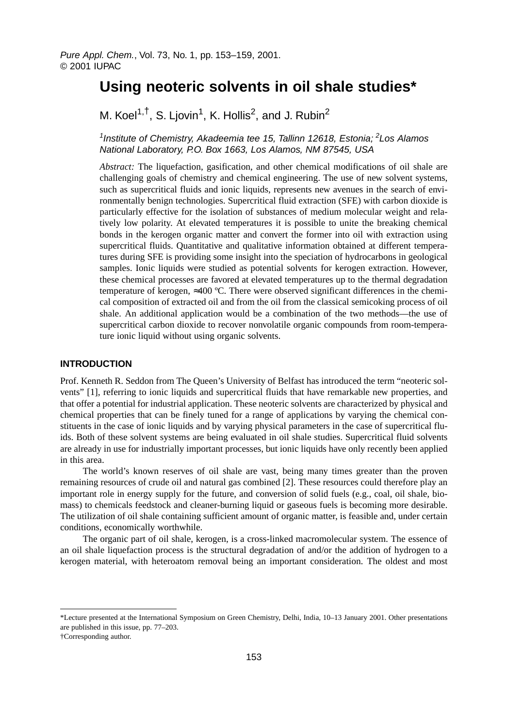# **Using neoteric solvents in oil shale studies\***

M. Koel<sup>1,†</sup>, S. Ljovin<sup>1</sup>, K. Hollis<sup>2</sup>, and J. Rubin<sup>2</sup>

<sup>1</sup> Institute of Chemistry, Akadeemia tee 15, Tallinn 12618, Estonia;  ${}^{2}$ Los Alamos National Laboratory, P.O. Box 1663, Los Alamos, NM 87545, USA

*Abstract:* The liquefaction, gasification, and other chemical modifications of oil shale are challenging goals of chemistry and chemical engineering. The use of new solvent systems, such as supercritical fluids and ionic liquids, represents new avenues in the search of environmentally benign technologies. Supercritical fluid extraction (SFE) with carbon dioxide is particularly effective for the isolation of substances of medium molecular weight and relatively low polarity. At elevated temperatures it is possible to unite the breaking chemical bonds in the kerogen organic matter and convert the former into oil with extraction using supercritical fluids. Quantitative and qualitative information obtained at different temperatures during SFE is providing some insight into the speciation of hydrocarbons in geological samples. Ionic liquids were studied as potential solvents for kerogen extraction. However, these chemical processes are favored at elevated temperatures up to the thermal degradation temperature of kerogen,  $\approx 400$  °C. There were observed significant differences in the chemical composition of extracted oil and from the oil from the classical semicoking process of oil shale. An additional application would be a combination of the two methods—the use of supercritical carbon dioxide to recover nonvolatile organic compounds from room-temperature ionic liquid without using organic solvents.

## **INTRODUCTION**

Prof. Kenneth R. Seddon from The Queen's University of Belfast has introduced the term "neoteric solvents" [1], referring to ionic liquids and supercritical fluids that have remarkable new properties, and that offer a potential for industrial application. These neoteric solvents are characterized by physical and chemical properties that can be finely tuned for a range of applications by varying the chemical constituents in the case of ionic liquids and by varying physical parameters in the case of supercritical fluids. Both of these solvent systems are being evaluated in oil shale studies. Supercritical fluid solvents are already in use for industrially important processes, but ionic liquids have only recently been applied in this area.

The world's known reserves of oil shale are vast, being many times greater than the proven remaining resources of crude oil and natural gas combined [2]. These resources could therefore play an important role in energy supply for the future, and conversion of solid fuels (e.g., coal, oil shale, biomass) to chemicals feedstock and cleaner-burning liquid or gaseous fuels is becoming more desirable. The utilization of oil shale containing sufficient amount of organic matter, is feasible and, under certain conditions, economically worthwhile.

The organic part of oil shale, kerogen, is a cross-linked macromolecular system. The essence of an oil shale liquefaction process is the structural degradation of and/or the addition of hydrogen to a kerogen material, with heteroatom removal being an important consideration. The oldest and most

<sup>\*</sup>Lecture presented at the International Symposium on Green Chemistry, Delhi, India, 10–13 January 2001. Other presentations are published in this issue, pp. 77–203.

<sup>†</sup>Corresponding author.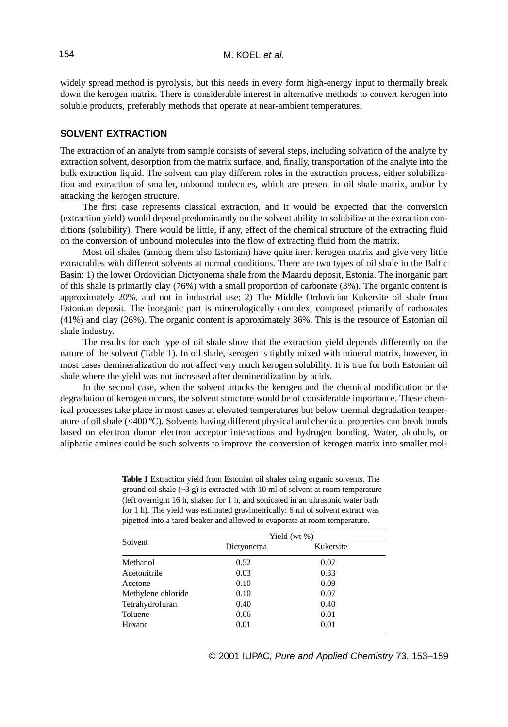widely spread method is pyrolysis, but this needs in every form high-energy input to thermally break down the kerogen matrix. There is considerable interest in alternative methods to convert kerogen into soluble products, preferably methods that operate at near-ambient temperatures.

### **SOLVENT EXTRACTION**

The extraction of an analyte from sample consists of several steps, including solvation of the analyte by extraction solvent, desorption from the matrix surface, and, finally, transportation of the analyte into the bulk extraction liquid. The solvent can play different roles in the extraction process, either solubilization and extraction of smaller, unbound molecules, which are present in oil shale matrix, and/or by attacking the kerogen structure.

The first case represents classical extraction, and it would be expected that the conversion (extraction yield) would depend predominantly on the solvent ability to solubilize at the extraction conditions (solubility). There would be little, if any, effect of the chemical structure of the extracting fluid on the conversion of unbound molecules into the flow of extracting fluid from the matrix.

Most oil shales (among them also Estonian) have quite inert kerogen matrix and give very little extractables with different solvents at normal conditions. There are two types of oil shale in the Baltic Basin: 1) the lower Ordovician Dictyonema shale from the Maardu deposit, Estonia. The inorganic part of this shale is primarily clay (76%) with a small proportion of carbonate (3%). The organic content is approximately 20%, and not in industrial use; 2) The Middle Ordovician Kukersite oil shale from Estonian deposit. The inorganic part is minerologically complex, composed primarily of carbonates (41%) and clay (26%). The organic content is approximately 36%. This is the resource of Estonian oil shale industry.

The results for each type of oil shale show that the extraction yield depends differently on the nature of the solvent (Table 1). In oil shale, kerogen is tightly mixed with mineral matrix, however, in most cases demineralization do not affect very much kerogen solubility. It is true for both Estonian oil shale where the yield was not increased after demineralization by acids.

In the second case, when the solvent attacks the kerogen and the chemical modification or the degradation of kerogen occurs, the solvent structure would be of considerable importance. These chemical processes take place in most cases at elevated temperatures but below thermal degradation temperature of oil shale (<400 ºC). Solvents having different physical and chemical properties can break bonds based on electron donor–electron acceptor interactions and hydrogen bonding. Water, alcohols, or aliphatic amines could be such solvents to improve the conversion of kerogen matrix into smaller mol-

> **Table 1** Extraction yield from Estonian oil shales using organic solvents. The ground oil shale  $(-3 g)$  is extracted with 10 ml of solvent at room temperature (left overnight 16 h, shaken for 1 h, and sonicated in an ultrasonic water bath for 1 h). The yield was estimated gravimetrically: 6 ml of solvent extract was pipetted into a tared beaker and allowed to evaporate at room temperature.

| Solvent            | Yield $(wt \%)$ |           |  |
|--------------------|-----------------|-----------|--|
|                    | Dictyonema      | Kukersite |  |
| Methanol           | 0.52            | 0.07      |  |
| Acetonitrile       | 0.03            | 0.33      |  |
| Acetone            | 0.10            | 0.09      |  |
| Methylene chloride | 0.10            | 0.07      |  |
| Tetrahydrofuran    | 0.40            | 0.40      |  |
| Toluene            | 0.06            | 0.01      |  |
| Hexane             | 0.01            | 0.01      |  |

© 2001 IUPAC, Pure and Applied Chemistry 73, 153–159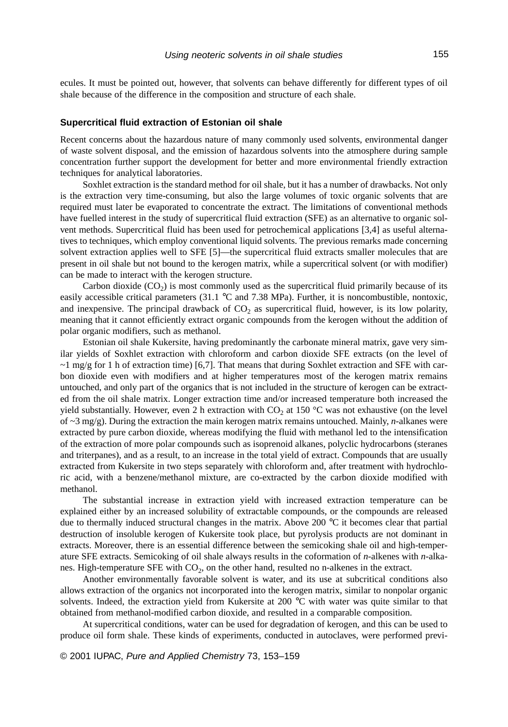ecules. It must be pointed out, however, that solvents can behave differently for different types of oil shale because of the difference in the composition and structure of each shale.

#### **Supercritical fluid extraction of Estonian oil shale**

Recent concerns about the hazardous nature of many commonly used solvents, environmental danger of waste solvent disposal, and the emission of hazardous solvents into the atmosphere during sample concentration further support the development for better and more environmental friendly extraction techniques for analytical laboratories.

Soxhlet extraction is the standard method for oil shale, but it has a number of drawbacks. Not only is the extraction very time-consuming, but also the large volumes of toxic organic solvents that are required must later be evaporated to concentrate the extract. The limitations of conventional methods have fuelled interest in the study of supercritical fluid extraction (SFE) as an alternative to organic solvent methods. Supercritical fluid has been used for petrochemical applications [3,4] as useful alternatives to techniques, which employ conventional liquid solvents. The previous remarks made concerning solvent extraction applies well to SFE [5]—the supercritical fluid extracts smaller molecules that are present in oil shale but not bound to the kerogen matrix, while a supercritical solvent (or with modifier) can be made to interact with the kerogen structure.

Carbon dioxide  $(CO<sub>2</sub>)$  is most commonly used as the supercritical fluid primarily because of its easily accessible critical parameters (31.1 °C and 7.38 MPa). Further, it is noncombustible, nontoxic, and inexpensive. The principal drawback of  $CO<sub>2</sub>$  as supercritical fluid, however, is its low polarity, meaning that it cannot efficiently extract organic compounds from the kerogen without the addition of polar organic modifiers, such as methanol.

Estonian oil shale Kukersite, having predominantly the carbonate mineral matrix, gave very similar yields of Soxhlet extraction with chloroform and carbon dioxide SFE extracts (on the level of  $\sim$ 1 mg/g for 1 h of extraction time) [6,7]. That means that during Soxhlet extraction and SFE with carbon dioxide even with modifiers and at higher temperatures most of the kerogen matrix remains untouched, and only part of the organics that is not included in the structure of kerogen can be extracted from the oil shale matrix. Longer extraction time and/or increased temperature both increased the yield substantially. However, even 2 h extraction with  $CO<sub>2</sub>$  at 150 °C was not exhaustive (on the level of ~3 mg/g). During the extraction the main kerogen matrix remains untouched. Mainly, *n*-alkanes were extracted by pure carbon dioxide, whereas modifying the fluid with methanol led to the intensification of the extraction of more polar compounds such as isoprenoid alkanes, polyclic hydrocarbons (steranes and triterpanes), and as a result, to an increase in the total yield of extract. Compounds that are usually extracted from Kukersite in two steps separately with chloroform and, after treatment with hydrochloric acid, with a benzene/methanol mixture, are co-extracted by the carbon dioxide modified with methanol.

The substantial increase in extraction yield with increased extraction temperature can be explained either by an increased solubility of extractable compounds, or the compounds are released due to thermally induced structural changes in the matrix. Above 200  $^{\circ}$ C it becomes clear that partial destruction of insoluble kerogen of Kukersite took place, but pyrolysis products are not dominant in extracts. Moreover, there is an essential difference between the semicoking shale oil and high-temperature SFE extracts. Semicoking of oil shale always results in the coformation of *n*-alkenes with *n*-alkanes. High-temperature SFE with CO<sub>2</sub>, on the other hand, resulted no n-alkenes in the extract.

Another environmentally favorable solvent is water, and its use at subcritical conditions also allows extraction of the organics not incorporated into the kerogen matrix, similar to nonpolar organic solvents. Indeed, the extraction yield from Kukersite at 200 °C with water was quite similar to that obtained from methanol-modified carbon dioxide, and resulted in a comparable composition.

At supercritical conditions, water can be used for degradation of kerogen, and this can be used to produce oil form shale. These kinds of experiments, conducted in autoclaves, were performed previ-

© 2001 IUPAC, Pure and Applied Chemistry 73, 153–159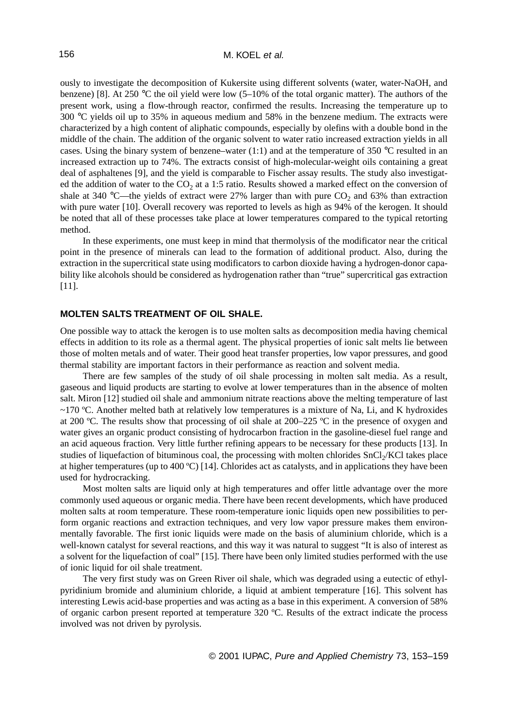ously to investigate the decomposition of Kukersite using different solvents (water, water-NaOH, and benzene) [8]. At 250 °C the oil yield were low  $(5-10\%$  of the total organic matter). The authors of the present work, using a flow-through reactor, confirmed the results. Increasing the temperature up to 300 °C yields oil up to 35% in aqueous medium and 58% in the benzene medium. The extracts were characterized by a high content of aliphatic compounds, especially by olefins with a double bond in the middle of the chain. The addition of the organic solvent to water ratio increased extraction yields in all cases. Using the binary system of benzene–water  $(1:1)$  and at the temperature of 350 °C resulted in an increased extraction up to 74%. The extracts consist of high-molecular-weight oils containing a great deal of asphaltenes [9], and the yield is comparable to Fischer assay results. The study also investigated the addition of water to the  $CO<sub>2</sub>$  at a 1:5 ratio. Results showed a marked effect on the conversion of shale at 340 °C—the yields of extract were 27% larger than with pure  $CO<sub>2</sub>$  and 63% than extraction with pure water [10]. Overall recovery was reported to levels as high as 94% of the kerogen. It should be noted that all of these processes take place at lower temperatures compared to the typical retorting method.

In these experiments, one must keep in mind that thermolysis of the modificator near the critical point in the presence of minerals can lead to the formation of additional product. Also, during the extraction in the supercritical state using modificators to carbon dioxide having a hydrogen-donor capability like alcohols should be considered as hydrogenation rather than "true" supercritical gas extraction [11].

#### **MOLTEN SALTS TREATMENT OF OIL SHALE.**

One possible way to attack the kerogen is to use molten salts as decomposition media having chemical effects in addition to its role as a thermal agent. The physical properties of ionic salt melts lie between those of molten metals and of water. Their good heat transfer properties, low vapor pressures, and good thermal stability are important factors in their performance as reaction and solvent media.

There are few samples of the study of oil shale processing in molten salt media. As a result, gaseous and liquid products are starting to evolve at lower temperatures than in the absence of molten salt. Miron [12] studied oil shale and ammonium nitrate reactions above the melting temperature of last  $\sim$ 170 °C. Another melted bath at relatively low temperatures is a mixture of Na, Li, and K hydroxides at 200 °C. The results show that processing of oil shale at 200–225 °C in the presence of oxygen and water gives an organic product consisting of hydrocarbon fraction in the gasoline-diesel fuel range and an acid aqueous fraction. Very little further refining appears to be necessary for these products [13]. In studies of liquefaction of bituminous coal, the processing with molten chlorides  $SnCl<sub>2</sub>/KC$  takes place at higher temperatures (up to 400 ºC) [14]. Chlorides act as catalysts, and in applications they have been used for hydrocracking.

Most molten salts are liquid only at high temperatures and offer little advantage over the more commonly used aqueous or organic media. There have been recent developments, which have produced molten salts at room temperature. These room-temperature ionic liquids open new possibilities to perform organic reactions and extraction techniques, and very low vapor pressure makes them environmentally favorable. The first ionic liquids were made on the basis of aluminium chloride, which is a well-known catalyst for several reactions, and this way it was natural to suggest "It is also of interest as a solvent for the liquefaction of coal" [15]. There have been only limited studies performed with the use of ionic liquid for oil shale treatment.

The very first study was on Green River oil shale, which was degraded using a eutectic of ethylpyridinium bromide and aluminium chloride, a liquid at ambient temperature [16]. This solvent has interesting Lewis acid-base properties and was acting as a base in this experiment. A conversion of 58% of organic carbon present reported at temperature 320 ºC. Results of the extract indicate the process involved was not driven by pyrolysis.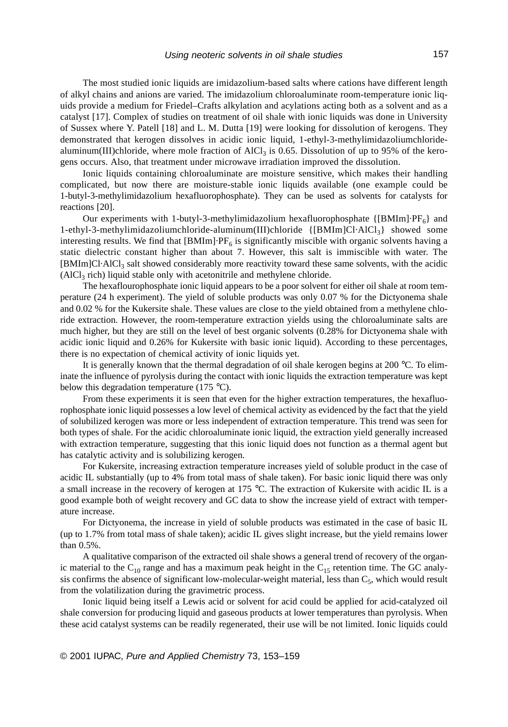The most studied ionic liquids are imidazolium-based salts where cations have different length of alkyl chains and anions are varied. The imidazolium chloroaluminate room-temperature ionic liquids provide a medium for Friedel–Crafts alkylation and acylations acting both as a solvent and as a catalyst [17]. Complex of studies on treatment of oil shale with ionic liquids was done in University of Sussex where Y. Patell [18] and L. M. Dutta [19] were looking for dissolution of kerogens. They demonstrated that kerogen dissolves in acidic ionic liquid, 1-ethyl-3-methylimidazoliumchloridealuminum(III)chloride, where mole fraction of AlCl<sub>3</sub> is 0.65. Dissolution of up to 95% of the kerogens occurs. Also, that treatment under microwave irradiation improved the dissolution.

Ionic liquids containing chloroaluminate are moisture sensitive, which makes their handling complicated, but now there are moisture-stable ionic liquids available (one example could be 1-butyl-3-methylimidazolium hexafluorophosphate). They can be used as solvents for catalysts for reactions [20].

Our experiments with 1-butyl-3-methylimidazolium hexafluorophosphate  $\{[BMIm] \cdot PF_6\}$  and 1-ethyl-3-methylimidazoliumchloride-aluminum(III)chloride {[BMIm]Cl·AlCl3} showed some interesting results. We find that  $[BMIm]$ ·PF<sub>6</sub> is significantly miscible with organic solvents having a static dielectric constant higher than about 7. However, this salt is immiscible with water. The [BMIm]Cl·AlCl<sub>3</sub> salt showed considerably more reactivity toward these same solvents, with the acidic  $(AICl<sub>3</sub> rich) liquid stable only with acetonitrile and methylene chloride.$ 

The hexaflourophosphate ionic liquid appears to be a poor solvent for either oil shale at room temperature (24 h experiment). The yield of soluble products was only 0.07 % for the Dictyonema shale and 0.02 % for the Kukersite shale. These values are close to the yield obtained from a methylene chloride extraction. However, the room-temperature extraction yields using the chloroaluminate salts are much higher, but they are still on the level of best organic solvents (0.28% for Dictyonema shale with acidic ionic liquid and 0.26% for Kukersite with basic ionic liquid). According to these percentages, there is no expectation of chemical activity of ionic liquids yet.

It is generally known that the thermal degradation of oil shale kerogen begins at 200 °C. To eliminate the influence of pyrolysis during the contact with ionic liquids the extraction temperature was kept below this degradation temperature (175  $^{\circ}$ C).

From these experiments it is seen that even for the higher extraction temperatures, the hexafluorophosphate ionic liquid possesses a low level of chemical activity as evidenced by the fact that the yield of solubilized kerogen was more or less independent of extraction temperature. This trend was seen for both types of shale. For the acidic chloroaluminate ionic liquid, the extraction yield generally increased with extraction temperature, suggesting that this ionic liquid does not function as a thermal agent but has catalytic activity and is solubilizing kerogen.

For Kukersite, increasing extraction temperature increases yield of soluble product in the case of acidic IL substantially (up to 4% from total mass of shale taken). For basic ionic liquid there was only a small increase in the recovery of kerogen at 175 °C. The extraction of Kukersite with acidic IL is a good example both of weight recovery and GC data to show the increase yield of extract with temperature increase.

For Dictyonema, the increase in yield of soluble products was estimated in the case of basic IL (up to 1.7% from total mass of shale taken); acidic IL gives slight increase, but the yield remains lower than 0.5%.

A qualitative comparison of the extracted oil shale shows a general trend of recovery of the organic material to the  $C_{10}$  range and has a maximum peak height in the  $C_{15}$  retention time. The GC analysis confirms the absence of significant low-molecular-weight material, less than  $C_5$ , which would result from the volatilization during the gravimetric process.

Ionic liquid being itself a Lewis acid or solvent for acid could be applied for acid-catalyzed oil shale conversion for producing liquid and gaseous products at lower temperatures than pyrolysis. When these acid catalyst systems can be readily regenerated, their use will be not limited. Ionic liquids could

© 2001 IUPAC, Pure and Applied Chemistry 73, 153–159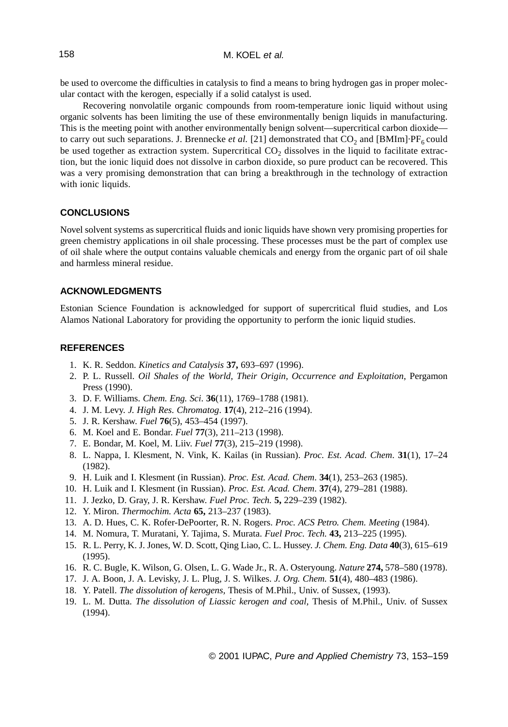be used to overcome the difficulties in catalysis to find a means to bring hydrogen gas in proper molecular contact with the kerogen, especially if a solid catalyst is used.

Recovering nonvolatile organic compounds from room-temperature ionic liquid without using organic solvents has been limiting the use of these environmentally benign liquids in manufacturing. This is the meeting point with another environmentally benign solvent—supercritical carbon dioxide to carry out such separations. J. Brennecke *et al.* [21] demonstrated that  $CO<sub>2</sub>$  and [BMIm]·PF<sub>6</sub> could be used together as extraction system. Supercritical  $CO<sub>2</sub>$  dissolves in the liquid to facilitate extraction, but the ionic liquid does not dissolve in carbon dioxide, so pure product can be recovered. This was a very promising demonstration that can bring a breakthrough in the technology of extraction with ionic liquids.

### **CONCLUSIONS**

Novel solvent systems as supercritical fluids and ionic liquids have shown very promising properties for green chemistry applications in oil shale processing. These processes must be the part of complex use of oil shale where the output contains valuable chemicals and energy from the organic part of oil shale and harmless mineral residue.

### **ACKNOWLEDGMENTS**

Estonian Science Foundation is acknowledged for support of supercritical fluid studies, and Los Alamos National Laboratory for providing the opportunity to perform the ionic liquid studies.

#### **REFERENCES**

- 1. K. R. Seddon. *Kinetics and Catalysis* **37,** 693–697 (1996).
- 2. P. L. Russell. *Oil Shales of the World, Their Origin, Occurrence and Exploitation*, Pergamon Press (1990).
- 3. D. F. Williams. *Chem. Eng. Sci*. **36**(11), 1769–1788 (1981).
- 4. J. M. Levy. *J. High Res. Chromatog*. **17**(4), 212–216 (1994).
- 5. J. R. Kershaw. *Fuel* **76**(5), 453–454 (1997).
- 6. M. Koel and E. Bondar. *Fuel* **77**(3), 211–213 (1998).
- 7. E. Bondar, M. Koel, M. Liiv. *Fuel* **77**(3), 215–219 (1998).
- 8. L. Nappa, I. Klesment, N. Vink, K. Kailas (in Russian). *Proc. Est. Acad. Chem*. **31**(1), 17–24 (1982).
- 9. H. Luik and I. Klesment (in Russian). *Proc. Est. Acad. Chem*. **34**(1), 253–263 (1985).
- 10. H. Luik and I. Klesment (in Russian). *Proc. Est. Acad. Chem*. **37**(4), 279–281 (1988).
- 11. J. Jezko, D. Gray, J. R. Kershaw. *Fuel Proc. Tech.* **5,** 229–239 (1982).
- 12. Y. Miron. *Thermochim. Acta* **65,** 213–237 (1983).
- 13. A. D. Hues, C. K. Rofer-DePoorter, R. N. Rogers. *Proc. ACS Petro. Chem. Meeting* (1984).
- 14. M. Nomura, T. Muratani, Y. Tajima, S. Murata. *Fuel Proc. Tech.* **43,** 213–225 (1995).
- 15. R. L. Perry, K. J. Jones, W. D. Scott, Qing Liao, C. L. Hussey. *J. Chem. Eng. Data* **40**(3), 615–619 (1995).
- 16. R. C. Bugle, K. Wilson, G. Olsen, L. G. Wade Jr., R. A. Osteryoung. *Nature* **274,** 578–580 (1978).
- 17. J. A. Boon, J. A. Levisky, J. L. Plug, J. S. Wilkes. *J. Org. Chem.* **51**(4), 480–483 (1986).
- 18. Y. Patell. *The dissolution of kerogens,* Thesis of M.Phil., Univ. of Sussex, (1993).
- 19. L. M. Dutta. *The dissolution of Liassic kerogen and coal,* Thesis of M.Phil., Univ. of Sussex (1994).